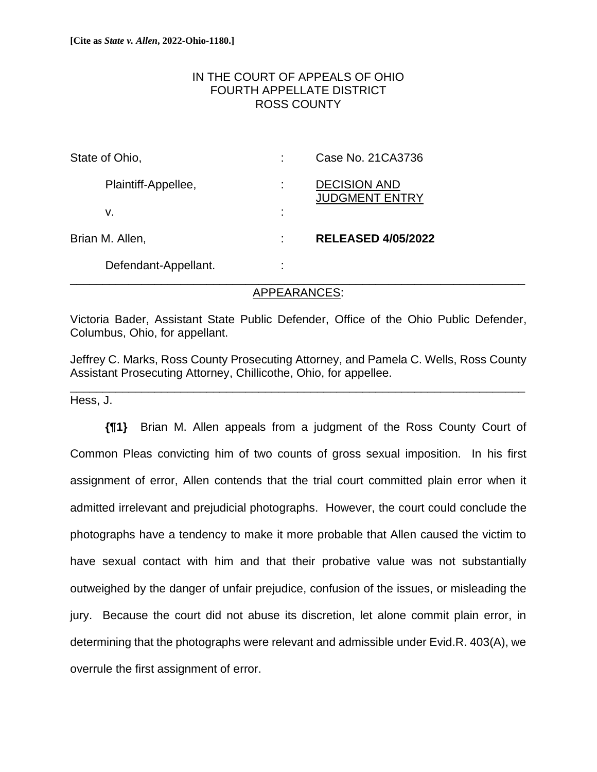# IN THE COURT OF APPEALS OF OHIO FOURTH APPELLATE DISTRICT ROSS COUNTY

| State of Ohio,  |                      | Case No. 21 CA3736                           |
|-----------------|----------------------|----------------------------------------------|
|                 | Plaintiff-Appellee,  | <b>DECISION AND</b><br><b>JUDGMENT ENTRY</b> |
|                 | v.                   |                                              |
| Brian M. Allen, |                      | <b>RELEASED 4/05/2022</b>                    |
|                 | Defendant-Appellant. |                                              |

# APPEARANCES:

Victoria Bader, Assistant State Public Defender, Office of the Ohio Public Defender, Columbus, Ohio, for appellant.

Jeffrey C. Marks, Ross County Prosecuting Attorney, and Pamela C. Wells, Ross County Assistant Prosecuting Attorney, Chillicothe, Ohio, for appellee.

\_\_\_\_\_\_\_\_\_\_\_\_\_\_\_\_\_\_\_\_\_\_\_\_\_\_\_\_\_\_\_\_\_\_\_\_\_\_\_\_\_\_\_\_\_\_\_\_\_\_\_\_\_\_\_\_\_\_\_\_\_\_\_\_\_\_\_\_\_\_

Hess, J.

**{¶1}** Brian M. Allen appeals from a judgment of the Ross County Court of Common Pleas convicting him of two counts of gross sexual imposition. In his first assignment of error, Allen contends that the trial court committed plain error when it admitted irrelevant and prejudicial photographs. However, the court could conclude the photographs have a tendency to make it more probable that Allen caused the victim to have sexual contact with him and that their probative value was not substantially outweighed by the danger of unfair prejudice, confusion of the issues, or misleading the jury. Because the court did not abuse its discretion, let alone commit plain error, in determining that the photographs were relevant and admissible under Evid.R. 403(A), we overrule the first assignment of error.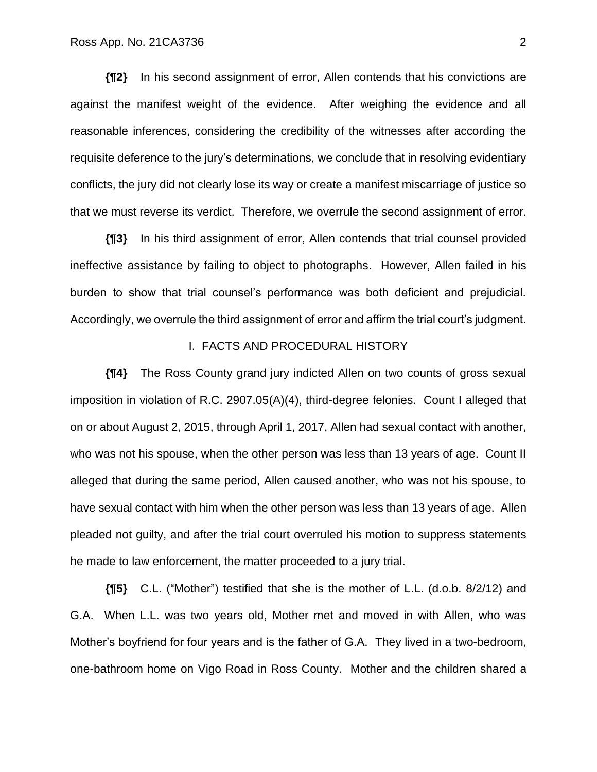**{¶2}** In his second assignment of error, Allen contends that his convictions are against the manifest weight of the evidence. After weighing the evidence and all reasonable inferences, considering the credibility of the witnesses after according the requisite deference to the jury's determinations, we conclude that in resolving evidentiary conflicts, the jury did not clearly lose its way or create a manifest miscarriage of justice so that we must reverse its verdict. Therefore, we overrule the second assignment of error.

**{¶3}** In his third assignment of error, Allen contends that trial counsel provided ineffective assistance by failing to object to photographs. However, Allen failed in his burden to show that trial counsel's performance was both deficient and prejudicial. Accordingly, we overrule the third assignment of error and affirm the trial court's judgment.

### I. FACTS AND PROCEDURAL HISTORY

**{¶4}** The Ross County grand jury indicted Allen on two counts of gross sexual imposition in violation of R.C. 2907.05(A)(4), third-degree felonies. Count I alleged that on or about August 2, 2015, through April 1, 2017, Allen had sexual contact with another, who was not his spouse, when the other person was less than 13 years of age. Count II alleged that during the same period, Allen caused another, who was not his spouse, to have sexual contact with him when the other person was less than 13 years of age. Allen pleaded not guilty, and after the trial court overruled his motion to suppress statements he made to law enforcement, the matter proceeded to a jury trial.

**{¶5}** C.L. ("Mother") testified that she is the mother of L.L. (d.o.b. 8/2/12) and G.A. When L.L. was two years old, Mother met and moved in with Allen, who was Mother's boyfriend for four years and is the father of G.A. They lived in a two-bedroom, one-bathroom home on Vigo Road in Ross County. Mother and the children shared a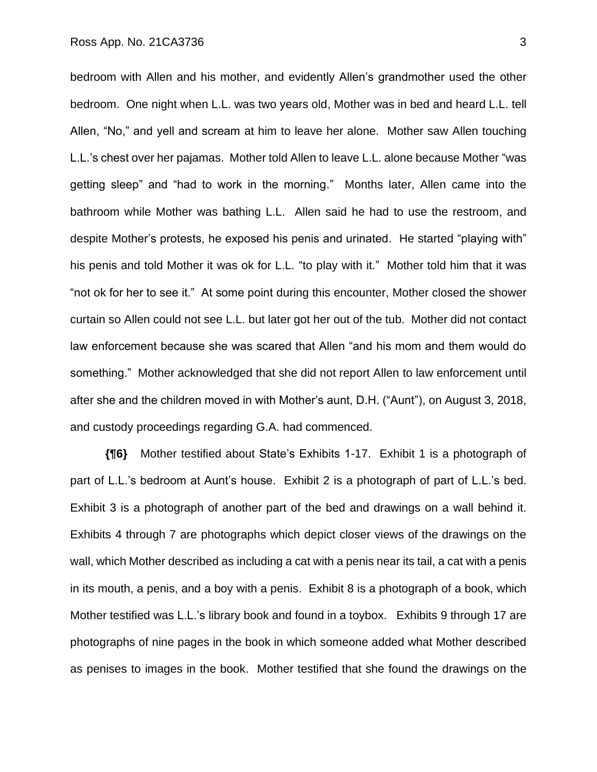bedroom with Allen and his mother, and evidently Allen's grandmother used the other bedroom. One night when L.L. was two years old, Mother was in bed and heard L.L. tell Allen, "No," and yell and scream at him to leave her alone. Mother saw Allen touching L.L.'s chest over her pajamas. Mother told Allen to leave L.L. alone because Mother "was getting sleep" and "had to work in the morning." Months later, Allen came into the bathroom while Mother was bathing L.L. Allen said he had to use the restroom, and despite Mother's protests, he exposed his penis and urinated. He started "playing with" his penis and told Mother it was ok for L.L. "to play with it." Mother told him that it was "not ok for her to see it." At some point during this encounter, Mother closed the shower curtain so Allen could not see L.L. but later got her out of the tub. Mother did not contact law enforcement because she was scared that Allen "and his mom and them would do something." Mother acknowledged that she did not report Allen to law enforcement until after she and the children moved in with Mother's aunt, D.H. ("Aunt"), on August 3, 2018, and custody proceedings regarding G.A. had commenced.

**{¶6}** Mother testified about State's Exhibits 1-17. Exhibit 1 is a photograph of part of L.L.'s bedroom at Aunt's house. Exhibit 2 is a photograph of part of L.L.'s bed. Exhibit 3 is a photograph of another part of the bed and drawings on a wall behind it. Exhibits 4 through 7 are photographs which depict closer views of the drawings on the wall, which Mother described as including a cat with a penis near its tail, a cat with a penis in its mouth, a penis, and a boy with a penis. Exhibit 8 is a photograph of a book, which Mother testified was L.L.'s library book and found in a toybox. Exhibits 9 through 17 are photographs of nine pages in the book in which someone added what Mother described as penises to images in the book. Mother testified that she found the drawings on the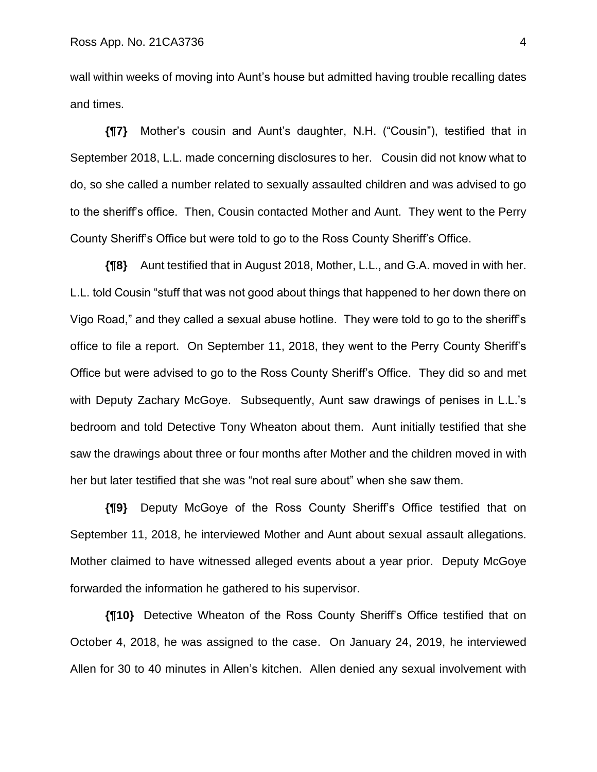wall within weeks of moving into Aunt's house but admitted having trouble recalling dates and times.

**{¶7}** Mother's cousin and Aunt's daughter, N.H. ("Cousin"), testified that in September 2018, L.L. made concerning disclosures to her. Cousin did not know what to do, so she called a number related to sexually assaulted children and was advised to go to the sheriff's office. Then, Cousin contacted Mother and Aunt. They went to the Perry County Sheriff's Office but were told to go to the Ross County Sheriff's Office.

**{¶8}** Aunt testified that in August 2018, Mother, L.L., and G.A. moved in with her. L.L. told Cousin "stuff that was not good about things that happened to her down there on Vigo Road," and they called a sexual abuse hotline. They were told to go to the sheriff's office to file a report. On September 11, 2018, they went to the Perry County Sheriff's Office but were advised to go to the Ross County Sheriff's Office. They did so and met with Deputy Zachary McGoye. Subsequently, Aunt saw drawings of penises in L.L.'s bedroom and told Detective Tony Wheaton about them. Aunt initially testified that she saw the drawings about three or four months after Mother and the children moved in with her but later testified that she was "not real sure about" when she saw them.

**{¶9}** Deputy McGoye of the Ross County Sheriff's Office testified that on September 11, 2018, he interviewed Mother and Aunt about sexual assault allegations. Mother claimed to have witnessed alleged events about a year prior. Deputy McGoye forwarded the information he gathered to his supervisor.

**{¶10}** Detective Wheaton of the Ross County Sheriff's Office testified that on October 4, 2018, he was assigned to the case. On January 24, 2019, he interviewed Allen for 30 to 40 minutes in Allen's kitchen. Allen denied any sexual involvement with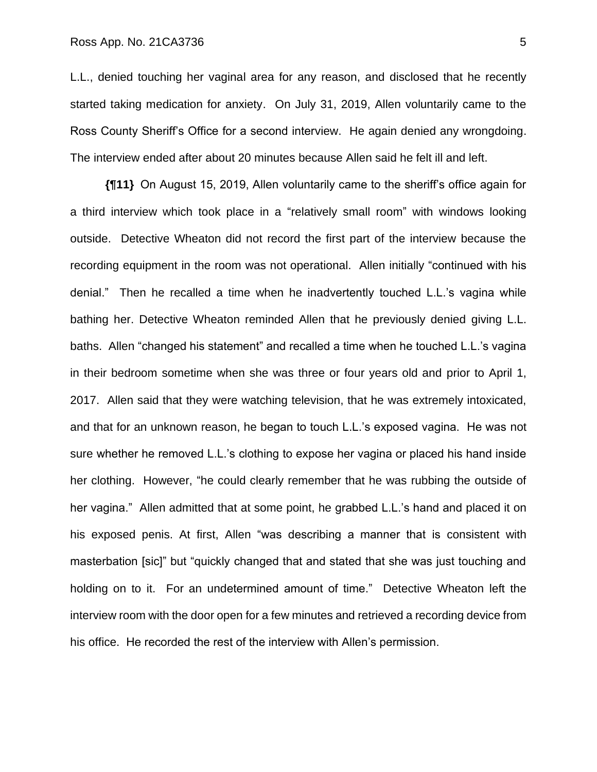L.L., denied touching her vaginal area for any reason, and disclosed that he recently started taking medication for anxiety. On July 31, 2019, Allen voluntarily came to the Ross County Sheriff's Office for a second interview. He again denied any wrongdoing. The interview ended after about 20 minutes because Allen said he felt ill and left.

**{¶11}** On August 15, 2019, Allen voluntarily came to the sheriff's office again for a third interview which took place in a "relatively small room" with windows looking outside. Detective Wheaton did not record the first part of the interview because the recording equipment in the room was not operational. Allen initially "continued with his denial." Then he recalled a time when he inadvertently touched L.L.'s vagina while bathing her. Detective Wheaton reminded Allen that he previously denied giving L.L. baths. Allen "changed his statement" and recalled a time when he touched L.L.'s vagina in their bedroom sometime when she was three or four years old and prior to April 1, 2017. Allen said that they were watching television, that he was extremely intoxicated, and that for an unknown reason, he began to touch L.L.'s exposed vagina. He was not sure whether he removed L.L.'s clothing to expose her vagina or placed his hand inside her clothing. However, "he could clearly remember that he was rubbing the outside of her vagina." Allen admitted that at some point, he grabbed L.L.'s hand and placed it on his exposed penis. At first, Allen "was describing a manner that is consistent with masterbation [sic]" but "quickly changed that and stated that she was just touching and holding on to it. For an undetermined amount of time." Detective Wheaton left the interview room with the door open for a few minutes and retrieved a recording device from his office. He recorded the rest of the interview with Allen's permission.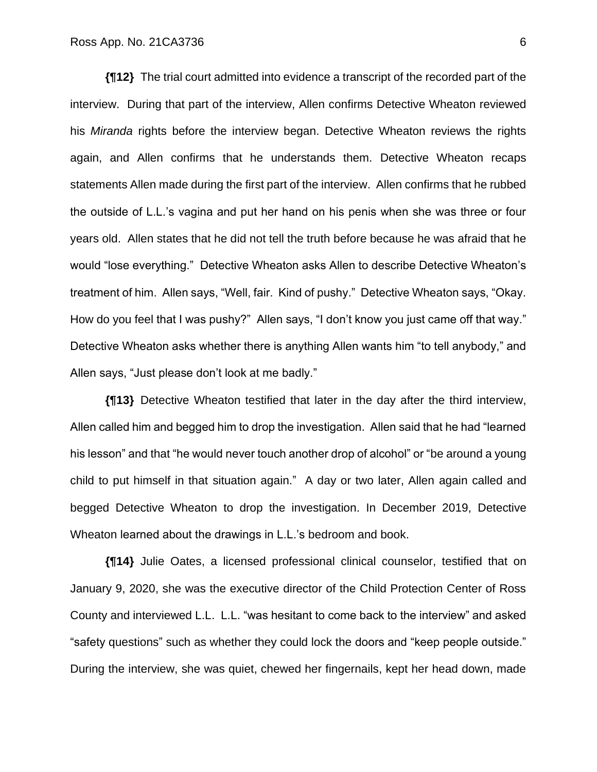**{¶12}** The trial court admitted into evidence a transcript of the recorded part of the interview. During that part of the interview, Allen confirms Detective Wheaton reviewed his *Miranda* rights before the interview began. Detective Wheaton reviews the rights again, and Allen confirms that he understands them. Detective Wheaton recaps statements Allen made during the first part of the interview. Allen confirms that he rubbed the outside of L.L.'s vagina and put her hand on his penis when she was three or four years old. Allen states that he did not tell the truth before because he was afraid that he would "lose everything." Detective Wheaton asks Allen to describe Detective Wheaton's treatment of him. Allen says, "Well, fair. Kind of pushy." Detective Wheaton says, "Okay. How do you feel that I was pushy?" Allen says, "I don't know you just came off that way." Detective Wheaton asks whether there is anything Allen wants him "to tell anybody," and Allen says, "Just please don't look at me badly."

**{¶13}** Detective Wheaton testified that later in the day after the third interview, Allen called him and begged him to drop the investigation. Allen said that he had "learned his lesson" and that "he would never touch another drop of alcohol" or "be around a young child to put himself in that situation again." A day or two later, Allen again called and begged Detective Wheaton to drop the investigation. In December 2019, Detective Wheaton learned about the drawings in L.L.'s bedroom and book.

**{¶14}** Julie Oates, a licensed professional clinical counselor, testified that on January 9, 2020, she was the executive director of the Child Protection Center of Ross County and interviewed L.L. L.L. "was hesitant to come back to the interview" and asked "safety questions" such as whether they could lock the doors and "keep people outside." During the interview, she was quiet, chewed her fingernails, kept her head down, made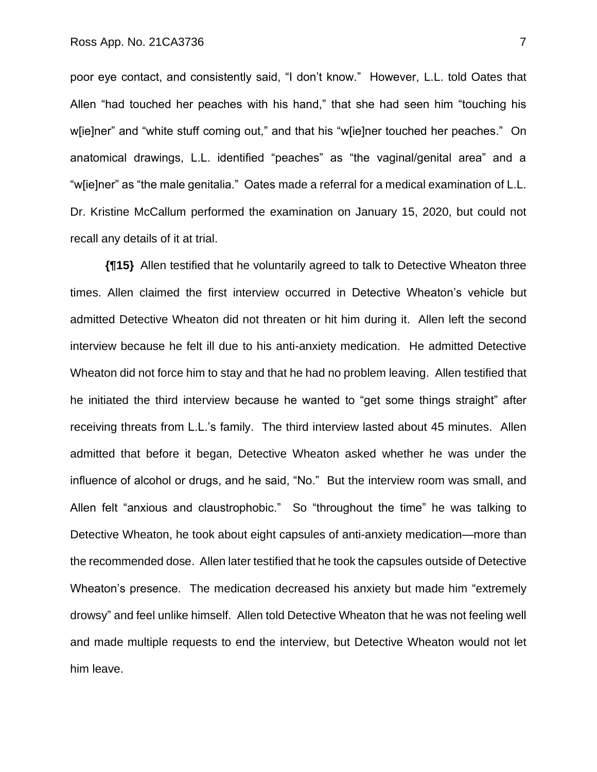poor eye contact, and consistently said, "I don't know." However, L.L. told Oates that Allen "had touched her peaches with his hand," that she had seen him "touching his w[ie]ner" and "white stuff coming out," and that his "w[ie]ner touched her peaches." On anatomical drawings, L.L. identified "peaches" as "the vaginal/genital area" and a "w[ie]ner" as "the male genitalia." Oates made a referral for a medical examination of L.L. Dr. Kristine McCallum performed the examination on January 15, 2020, but could not recall any details of it at trial.

**{¶15}** Allen testified that he voluntarily agreed to talk to Detective Wheaton three times. Allen claimed the first interview occurred in Detective Wheaton's vehicle but admitted Detective Wheaton did not threaten or hit him during it. Allen left the second interview because he felt ill due to his anti-anxiety medication. He admitted Detective Wheaton did not force him to stay and that he had no problem leaving. Allen testified that he initiated the third interview because he wanted to "get some things straight" after receiving threats from L.L.'s family. The third interview lasted about 45 minutes. Allen admitted that before it began, Detective Wheaton asked whether he was under the influence of alcohol or drugs, and he said, "No." But the interview room was small, and Allen felt "anxious and claustrophobic." So "throughout the time" he was talking to Detective Wheaton, he took about eight capsules of anti-anxiety medication—more than the recommended dose. Allen later testified that he took the capsules outside of Detective Wheaton's presence. The medication decreased his anxiety but made him "extremely drowsy" and feel unlike himself. Allen told Detective Wheaton that he was not feeling well and made multiple requests to end the interview, but Detective Wheaton would not let him leave.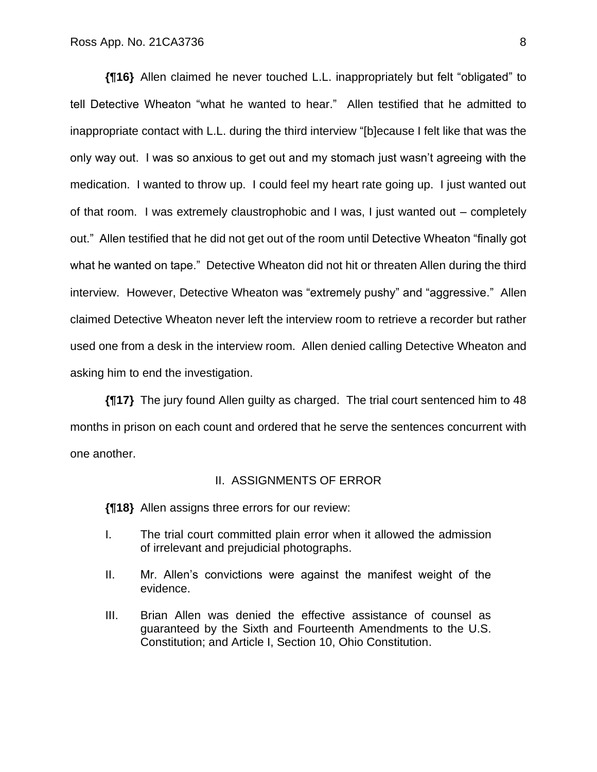**{¶16}** Allen claimed he never touched L.L. inappropriately but felt "obligated" to tell Detective Wheaton "what he wanted to hear." Allen testified that he admitted to inappropriate contact with L.L. during the third interview "[b]ecause I felt like that was the only way out. I was so anxious to get out and my stomach just wasn't agreeing with the medication. I wanted to throw up. I could feel my heart rate going up. I just wanted out of that room. I was extremely claustrophobic and I was, I just wanted out – completely out." Allen testified that he did not get out of the room until Detective Wheaton "finally got what he wanted on tape." Detective Wheaton did not hit or threaten Allen during the third interview. However, Detective Wheaton was "extremely pushy" and "aggressive." Allen claimed Detective Wheaton never left the interview room to retrieve a recorder but rather used one from a desk in the interview room. Allen denied calling Detective Wheaton and asking him to end the investigation.

**{¶17}** The jury found Allen guilty as charged. The trial court sentenced him to 48 months in prison on each count and ordered that he serve the sentences concurrent with one another.

#### II. ASSIGNMENTS OF ERROR

**{¶18}** Allen assigns three errors for our review:

- I. The trial court committed plain error when it allowed the admission of irrelevant and prejudicial photographs.
- II. Mr. Allen's convictions were against the manifest weight of the evidence.
- III. Brian Allen was denied the effective assistance of counsel as guaranteed by the Sixth and Fourteenth Amendments to the U.S. Constitution; and Article I, Section 10, Ohio Constitution.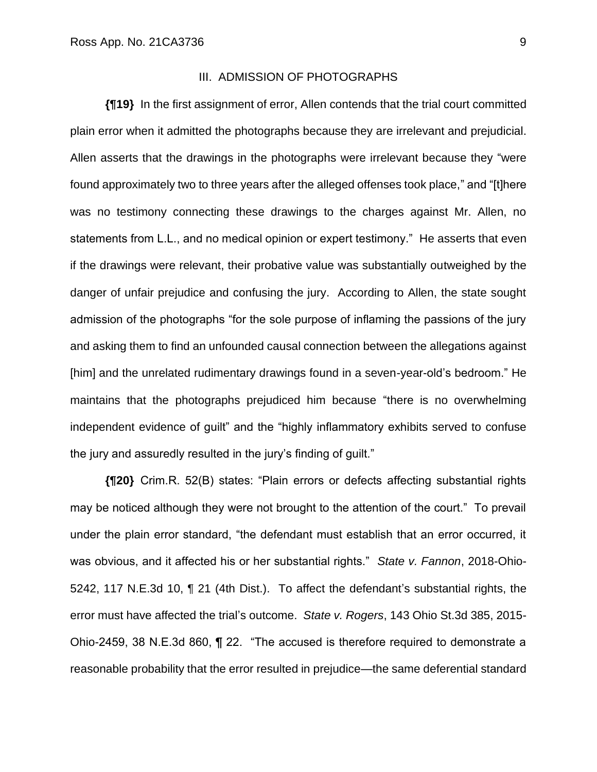### III. ADMISSION OF PHOTOGRAPHS

**{¶19}** In the first assignment of error, Allen contends that the trial court committed plain error when it admitted the photographs because they are irrelevant and prejudicial. Allen asserts that the drawings in the photographs were irrelevant because they "were found approximately two to three years after the alleged offenses took place," and "[t]here was no testimony connecting these drawings to the charges against Mr. Allen, no statements from L.L., and no medical opinion or expert testimony." He asserts that even if the drawings were relevant, their probative value was substantially outweighed by the danger of unfair prejudice and confusing the jury. According to Allen, the state sought admission of the photographs "for the sole purpose of inflaming the passions of the jury and asking them to find an unfounded causal connection between the allegations against [him] and the unrelated rudimentary drawings found in a seven-year-old's bedroom." He maintains that the photographs prejudiced him because "there is no overwhelming independent evidence of guilt" and the "highly inflammatory exhibits served to confuse the jury and assuredly resulted in the jury's finding of guilt."

**{¶20}** Crim.R. 52(B) states: "Plain errors or defects affecting substantial rights may be noticed although they were not brought to the attention of the court." To prevail under the plain error standard, "the defendant must establish that an error occurred, it was obvious, and it affected his or her substantial rights." *State v. Fannon*, 2018-Ohio-5242, 117 N.E.3d 10, ¶ 21 (4th Dist.). To affect the defendant's substantial rights, the error must have affected the trial's outcome. *State v. Rogers*, 143 Ohio St.3d 385, 2015- Ohio-2459, 38 N.E.3d 860, ¶ 22. "The accused is therefore required to demonstrate a reasonable probability that the error resulted in prejudice—the same deferential standard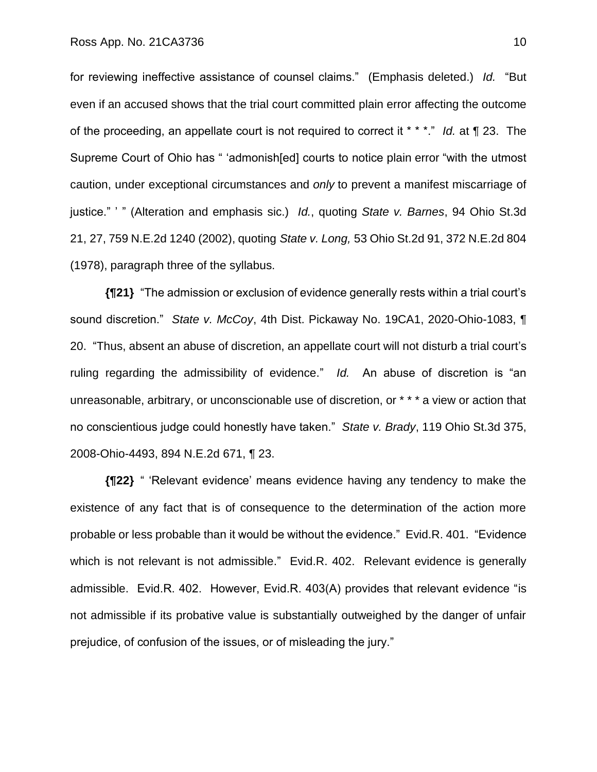for reviewing ineffective assistance of counsel claims." (Emphasis deleted.) *Id.* "But even if an accused shows that the trial court committed plain error affecting the outcome of the proceeding, an appellate court is not required to correct it \* \* \*." *Id.* at ¶ 23. The Supreme Court of Ohio has " 'admonish[ed] courts to notice plain error "with the utmost caution, under exceptional circumstances and *only* to prevent a manifest miscarriage of justice." ' " (Alteration and emphasis sic.) *Id.*, quoting *State v. Barnes*, 94 Ohio St.3d 21, 27, 759 N.E.2d 1240 (2002), quoting *State v. Long,* 53 Ohio St.2d 91, 372 N.E.2d 804 (1978), paragraph three of the syllabus.

**{¶21}** "The admission or exclusion of evidence generally rests within a trial court's sound discretion." *State v. McCoy*, 4th Dist. Pickaway No. 19CA1, 2020-Ohio-1083, ¶ 20. "Thus, absent an abuse of discretion, an appellate court will not disturb a trial court's ruling regarding the admissibility of evidence." *Id.* An abuse of discretion is "an unreasonable, arbitrary, or unconscionable use of discretion, or \* \* \* a view or action that no conscientious judge could honestly have taken." *State v. Brady*, 119 Ohio St.3d 375, 2008-Ohio-4493, 894 N.E.2d 671, ¶ 23.

**{¶22}** " 'Relevant evidence' means evidence having any tendency to make the existence of any fact that is of consequence to the determination of the action more probable or less probable than it would be without the evidence." Evid.R. 401. "Evidence which is not relevant is not admissible." Evid.R. 402. Relevant evidence is generally admissible. Evid.R. 402. However, Evid.R. 403(A) provides that relevant evidence "is not admissible if its probative value is substantially outweighed by the danger of unfair prejudice, of confusion of the issues, or of misleading the jury."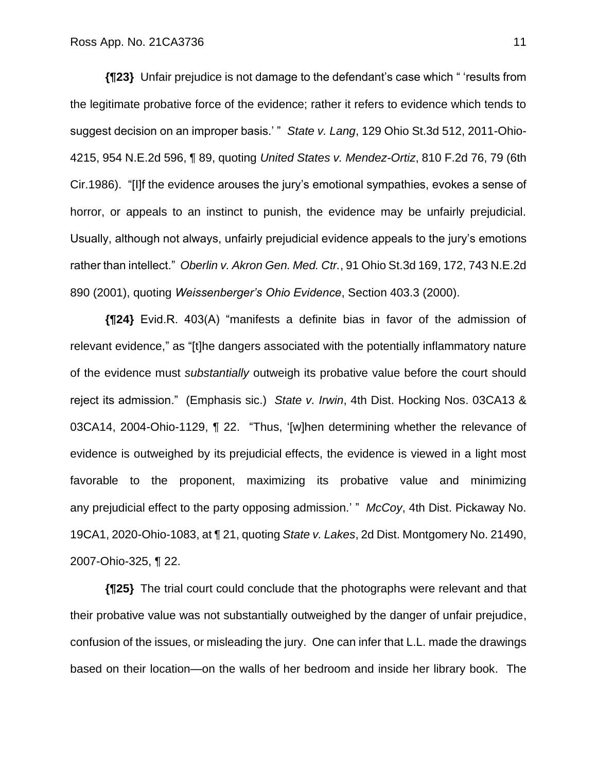**{¶23}** Unfair prejudice is not damage to the defendant's case which " 'results from the legitimate probative force of the evidence; rather it refers to evidence which tends to suggest decision on an improper basis.' " *State v. Lang*, 129 Ohio St.3d 512, 2011-Ohio-4215, 954 N.E.2d 596, ¶ 89, quoting *United States v. Mendez-Ortiz*, 810 F.2d 76, 79 (6th Cir.1986). "[I]f the evidence arouses the jury's emotional sympathies, evokes a sense of horror, or appeals to an instinct to punish, the evidence may be unfairly prejudicial. Usually, although not always, unfairly prejudicial evidence appeals to the jury's emotions rather than intellect." *Oberlin v. Akron Gen. Med. Ctr.*, 91 Ohio St.3d 169, 172, 743 N.E.2d 890 (2001), quoting *Weissenberger's Ohio Evidence*, Section 403.3 (2000).

**{¶24}** Evid.R. 403(A) "manifests a definite bias in favor of the admission of relevant evidence," as "[t]he dangers associated with the potentially inflammatory nature of the evidence must *substantially* outweigh its probative value before the court should reject its admission." (Emphasis sic.) *State v. Irwin*, 4th Dist. Hocking Nos. 03CA13 & 03CA14, 2004-Ohio-1129, ¶ 22. "Thus, '[w]hen determining whether the relevance of evidence is outweighed by its prejudicial effects, the evidence is viewed in a light most favorable to the proponent, maximizing its probative value and minimizing any prejudicial effect to the party opposing admission.' " *McCoy*, 4th Dist. Pickaway No. 19CA1, 2020-Ohio-1083, at ¶ 21, quoting *State v. Lakes*, 2d Dist. Montgomery No. 21490, 2007-Ohio-325, ¶ 22.

**{¶25}** The trial court could conclude that the photographs were relevant and that their probative value was not substantially outweighed by the danger of unfair prejudice, confusion of the issues, or misleading the jury. One can infer that L.L. made the drawings based on their location—on the walls of her bedroom and inside her library book. The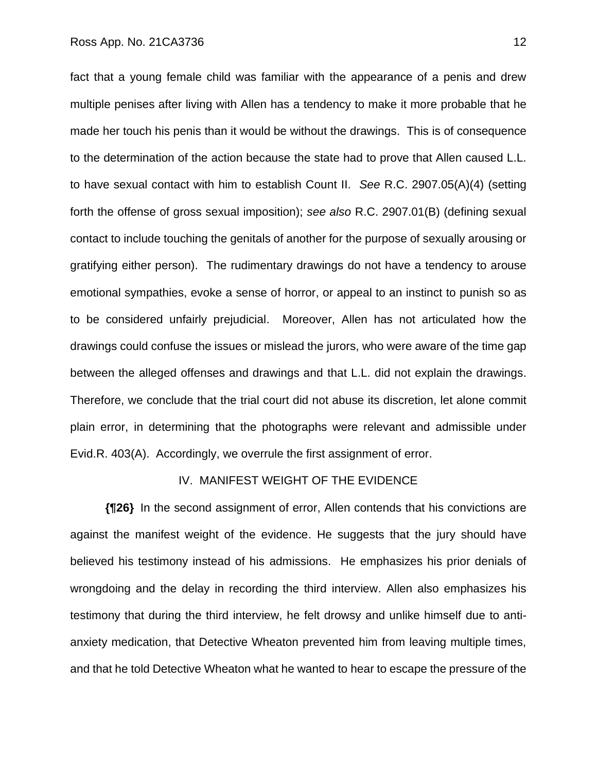fact that a young female child was familiar with the appearance of a penis and drew multiple penises after living with Allen has a tendency to make it more probable that he made her touch his penis than it would be without the drawings. This is of consequence to the determination of the action because the state had to prove that Allen caused L.L. to have sexual contact with him to establish Count II. *See* R.C. 2907.05(A)(4) (setting forth the offense of gross sexual imposition); *see also* R.C. 2907.01(B) (defining sexual contact to include touching the genitals of another for the purpose of sexually arousing or gratifying either person). The rudimentary drawings do not have a tendency to arouse emotional sympathies, evoke a sense of horror, or appeal to an instinct to punish so as to be considered unfairly prejudicial. Moreover, Allen has not articulated how the drawings could confuse the issues or mislead the jurors, who were aware of the time gap between the alleged offenses and drawings and that L.L. did not explain the drawings. Therefore, we conclude that the trial court did not abuse its discretion, let alone commit plain error, in determining that the photographs were relevant and admissible under Evid.R. 403(A). Accordingly, we overrule the first assignment of error.

#### IV. MANIFEST WEIGHT OF THE EVIDENCE

**{¶26}** In the second assignment of error, Allen contends that his convictions are against the manifest weight of the evidence. He suggests that the jury should have believed his testimony instead of his admissions. He emphasizes his prior denials of wrongdoing and the delay in recording the third interview. Allen also emphasizes his testimony that during the third interview, he felt drowsy and unlike himself due to antianxiety medication, that Detective Wheaton prevented him from leaving multiple times, and that he told Detective Wheaton what he wanted to hear to escape the pressure of the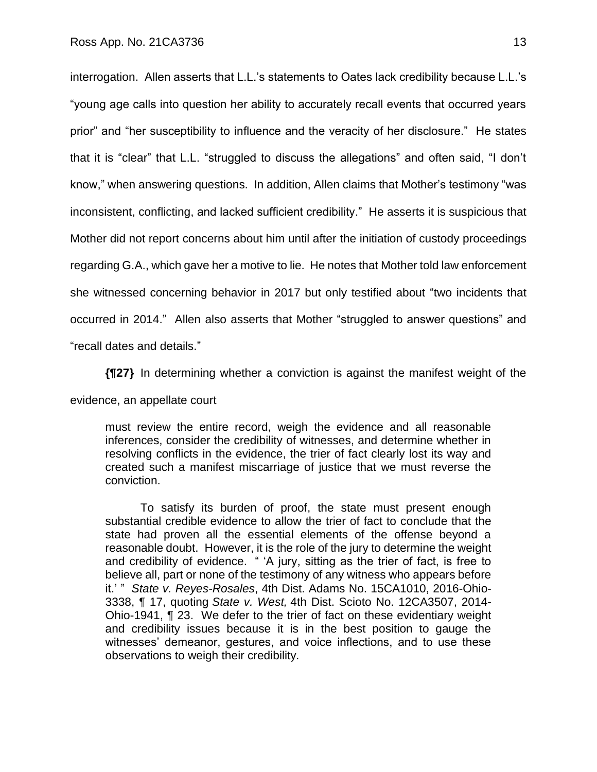interrogation. Allen asserts that L.L.'s statements to Oates lack credibility because L.L.'s "young age calls into question her ability to accurately recall events that occurred years prior" and "her susceptibility to influence and the veracity of her disclosure." He states that it is "clear" that L.L. "struggled to discuss the allegations" and often said, "I don't know," when answering questions. In addition, Allen claims that Mother's testimony "was inconsistent, conflicting, and lacked sufficient credibility." He asserts it is suspicious that Mother did not report concerns about him until after the initiation of custody proceedings regarding G.A., which gave her a motive to lie. He notes that Mother told law enforcement she witnessed concerning behavior in 2017 but only testified about "two incidents that occurred in 2014." Allen also asserts that Mother "struggled to answer questions" and "recall dates and details."

**{¶27}** In determining whether a conviction is against the manifest weight of the

evidence, an appellate court

must review the entire record, weigh the evidence and all reasonable inferences, consider the credibility of witnesses, and determine whether in resolving conflicts in the evidence, the trier of fact clearly lost its way and created such a manifest miscarriage of justice that we must reverse the conviction.

To satisfy its burden of proof, the state must present enough substantial credible evidence to allow the trier of fact to conclude that the state had proven all the essential elements of the offense beyond a reasonable doubt. However, it is the role of the jury to determine the weight and credibility of evidence. " 'A jury, sitting as the trier of fact, is free to believe all, part or none of the testimony of any witness who appears before it.' " *State v. Reyes-Rosales*, 4th Dist. Adams No. 15CA1010, 2016-Ohio-3338, ¶ 17, quoting *State v. West,* 4th Dist. Scioto No. 12CA3507, 2014- Ohio-1941, ¶ 23. We defer to the trier of fact on these evidentiary weight and credibility issues because it is in the best position to gauge the witnesses' demeanor, gestures, and voice inflections, and to use these observations to weigh their credibility*.*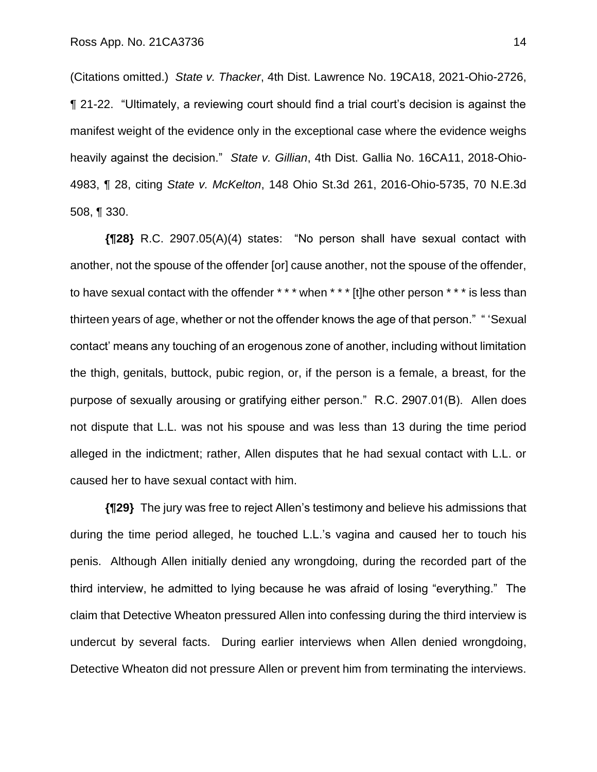(Citations omitted.) *State v. Thacker*, 4th Dist. Lawrence No. 19CA18, 2021-Ohio-2726, ¶ 21-22. "Ultimately, a reviewing court should find a trial court's decision is against the manifest weight of the evidence only in the exceptional case where the evidence weighs heavily against the decision." *State v. Gillian*, 4th Dist. Gallia No. 16CA11, 2018-Ohio-4983, ¶ 28, citing *State v. McKelton*, 148 Ohio St.3d 261, 2016-Ohio-5735, 70 N.E.3d 508, ¶ 330.

**{¶28}** R.C. 2907.05(A)(4) states: "No person shall have sexual contact with another, not the spouse of the offender [or] cause another, not the spouse of the offender, to have sexual contact with the offender \* \* \* when \* \* \* [t]he other person \* \* \* is less than thirteen years of age, whether or not the offender knows the age of that person." " 'Sexual contact' means any touching of an erogenous zone of another, including without limitation the thigh, genitals, buttock, pubic region, or, if the person is a female, a breast, for the purpose of sexually arousing or gratifying either person." R.C. 2907.01(B). Allen does not dispute that L.L. was not his spouse and was less than 13 during the time period alleged in the indictment; rather, Allen disputes that he had sexual contact with L.L. or caused her to have sexual contact with him.

**{¶29}** The jury was free to reject Allen's testimony and believe his admissions that during the time period alleged, he touched L.L.'s vagina and caused her to touch his penis. Although Allen initially denied any wrongdoing, during the recorded part of the third interview, he admitted to lying because he was afraid of losing "everything." The claim that Detective Wheaton pressured Allen into confessing during the third interview is undercut by several facts. During earlier interviews when Allen denied wrongdoing, Detective Wheaton did not pressure Allen or prevent him from terminating the interviews.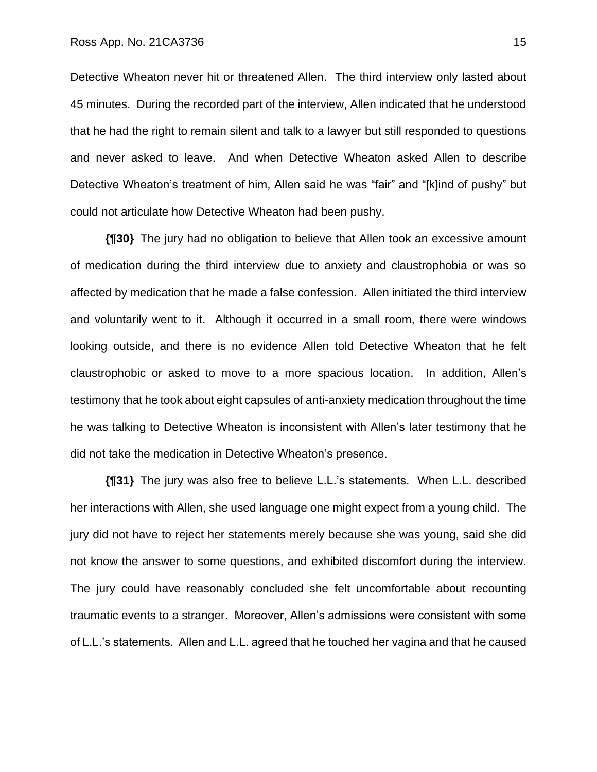Detective Wheaton never hit or threatened Allen. The third interview only lasted about 45 minutes. During the recorded part of the interview, Allen indicated that he understood that he had the right to remain silent and talk to a lawyer but still responded to questions and never asked to leave. And when Detective Wheaton asked Allen to describe Detective Wheaton's treatment of him, Allen said he was "fair" and "[k]ind of pushy" but could not articulate how Detective Wheaton had been pushy.

**{¶30}** The jury had no obligation to believe that Allen took an excessive amount of medication during the third interview due to anxiety and claustrophobia or was so affected by medication that he made a false confession. Allen initiated the third interview and voluntarily went to it. Although it occurred in a small room, there were windows looking outside, and there is no evidence Allen told Detective Wheaton that he felt claustrophobic or asked to move to a more spacious location. In addition, Allen's testimony that he took about eight capsules of anti-anxiety medication throughout the time he was talking to Detective Wheaton is inconsistent with Allen's later testimony that he did not take the medication in Detective Wheaton's presence.

**{¶31}** The jury was also free to believe L.L.'s statements. When L.L. described her interactions with Allen, she used language one might expect from a young child. The jury did not have to reject her statements merely because she was young, said she did not know the answer to some questions, and exhibited discomfort during the interview. The jury could have reasonably concluded she felt uncomfortable about recounting traumatic events to a stranger. Moreover, Allen's admissions were consistent with some of L.L.'s statements. Allen and L.L. agreed that he touched her vagina and that he caused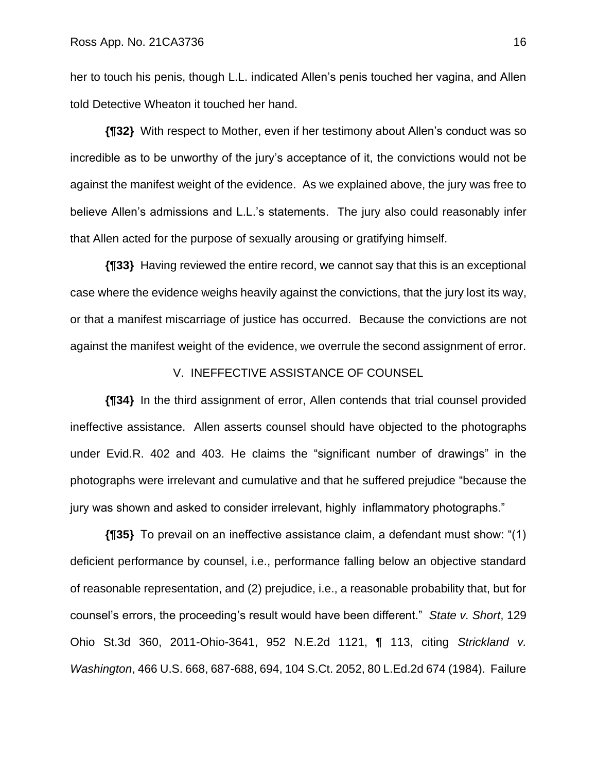her to touch his penis, though L.L. indicated Allen's penis touched her vagina, and Allen told Detective Wheaton it touched her hand.

**{¶32}** With respect to Mother, even if her testimony about Allen's conduct was so incredible as to be unworthy of the jury's acceptance of it, the convictions would not be against the manifest weight of the evidence. As we explained above, the jury was free to believe Allen's admissions and L.L.'s statements. The jury also could reasonably infer that Allen acted for the purpose of sexually arousing or gratifying himself.

**{¶33}** Having reviewed the entire record, we cannot say that this is an exceptional case where the evidence weighs heavily against the convictions, that the jury lost its way, or that a manifest miscarriage of justice has occurred. Because the convictions are not against the manifest weight of the evidence, we overrule the second assignment of error.

### V. INEFFECTIVE ASSISTANCE OF COUNSEL

**{¶34}** In the third assignment of error, Allen contends that trial counsel provided ineffective assistance. Allen asserts counsel should have objected to the photographs under Evid.R. 402 and 403. He claims the "significant number of drawings" in the photographs were irrelevant and cumulative and that he suffered prejudice "because the jury was shown and asked to consider irrelevant, highly inflammatory photographs."

**{¶35}** To prevail on an ineffective assistance claim, a defendant must show: "(1) deficient performance by counsel, i.e., performance falling below an objective standard of reasonable representation, and (2) prejudice, i.e., a reasonable probability that, but for counsel's errors, the proceeding's result would have been different." *State v. Short*, 129 Ohio St.3d 360, 2011-Ohio-3641, 952 N.E.2d 1121, ¶ 113, citing *Strickland v. Washington*, 466 U.S. 668, 687-688, 694, 104 S.Ct. 2052, 80 L.Ed.2d 674 (1984). Failure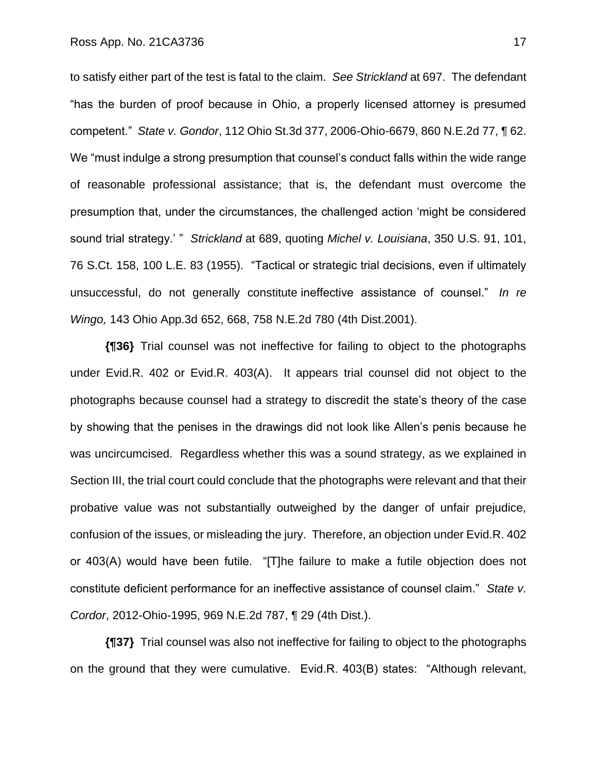to satisfy either part of the test is fatal to the claim. *See Strickland* at 697. The defendant "has the burden of proof because in Ohio, a properly licensed attorney is presumed competent." *State v. Gondor*, 112 Ohio St.3d 377, 2006-Ohio-6679, 860 N.E.2d 77, ¶ 62. We "must indulge a strong presumption that counsel's conduct falls within the wide range of reasonable professional assistance; that is, the defendant must overcome the presumption that, under the circumstances, the challenged action 'might be considered sound trial strategy.' " *Strickland* at 689, quoting *Michel v. Louisiana*, 350 U.S. 91, 101, 76 S.Ct. 158, 100 L.E. 83 (1955). "Tactical or strategic trial decisions, even if ultimately unsuccessful, do not generally constitute ineffective assistance of counsel." *In re Wingo,* 143 Ohio App.3d 652, 668, 758 N.E.2d 780 (4th Dist.2001).

**{¶36}** Trial counsel was not ineffective for failing to object to the photographs under Evid.R. 402 or Evid.R. 403(A). It appears trial counsel did not object to the photographs because counsel had a strategy to discredit the state's theory of the case by showing that the penises in the drawings did not look like Allen's penis because he was uncircumcised. Regardless whether this was a sound strategy, as we explained in Section III, the trial court could conclude that the photographs were relevant and that their probative value was not substantially outweighed by the danger of unfair prejudice, confusion of the issues, or misleading the jury. Therefore, an objection under Evid.R. 402 or 403(A) would have been futile. "[T]he failure to make a futile objection does not constitute deficient performance for an ineffective assistance of counsel claim." *State v. Cordor*, 2012-Ohio-1995, 969 N.E.2d 787, ¶ 29 (4th Dist.).

**{¶37}** Trial counsel was also not ineffective for failing to object to the photographs on the ground that they were cumulative. Evid.R. 403(B) states: "Although relevant,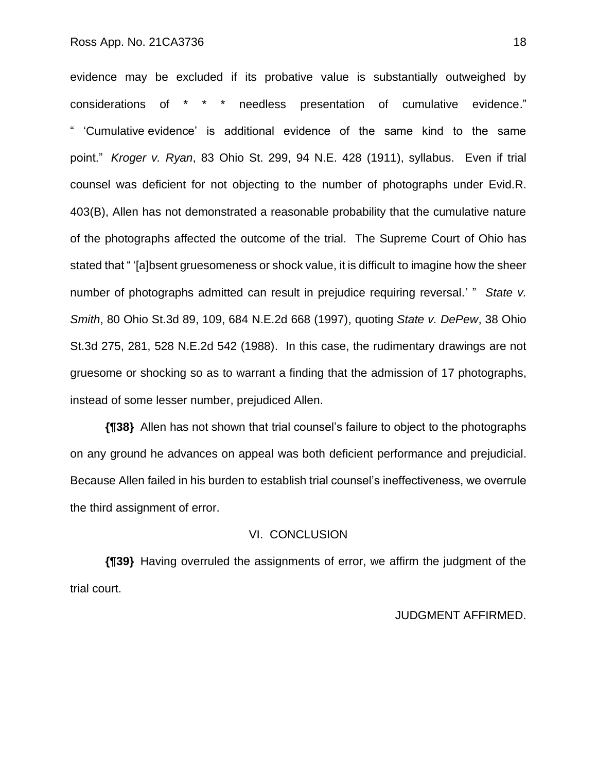evidence may be excluded if its probative value is substantially outweighed by considerations of \* \* \* needless presentation of cumulative evidence." " 'Cumulative evidence' is additional evidence of the same kind to the same point." *Kroger v. Ryan*, 83 Ohio St. 299, 94 N.E. 428 (1911), syllabus. Even if trial counsel was deficient for not objecting to the number of photographs under Evid.R. 403(B), Allen has not demonstrated a reasonable probability that the cumulative nature of the photographs affected the outcome of the trial. The Supreme Court of Ohio has stated that " '[a]bsent gruesomeness or shock value, it is difficult to imagine how the sheer number of photographs admitted can result in prejudice requiring reversal.' " *State v. Smith*, 80 Ohio St.3d 89, 109, 684 N.E.2d 668 (1997), quoting *State v. DePew*, 38 Ohio St.3d 275, 281, 528 N.E.2d 542 (1988). In this case, the rudimentary drawings are not gruesome or shocking so as to warrant a finding that the admission of 17 photographs, instead of some lesser number, prejudiced Allen.

**{¶38}** Allen has not shown that trial counsel's failure to object to the photographs on any ground he advances on appeal was both deficient performance and prejudicial. Because Allen failed in his burden to establish trial counsel's ineffectiveness, we overrule the third assignment of error.

#### VI. CONCLUSION

**{¶39}** Having overruled the assignments of error, we affirm the judgment of the trial court.

### JUDGMENT AFFIRMED.